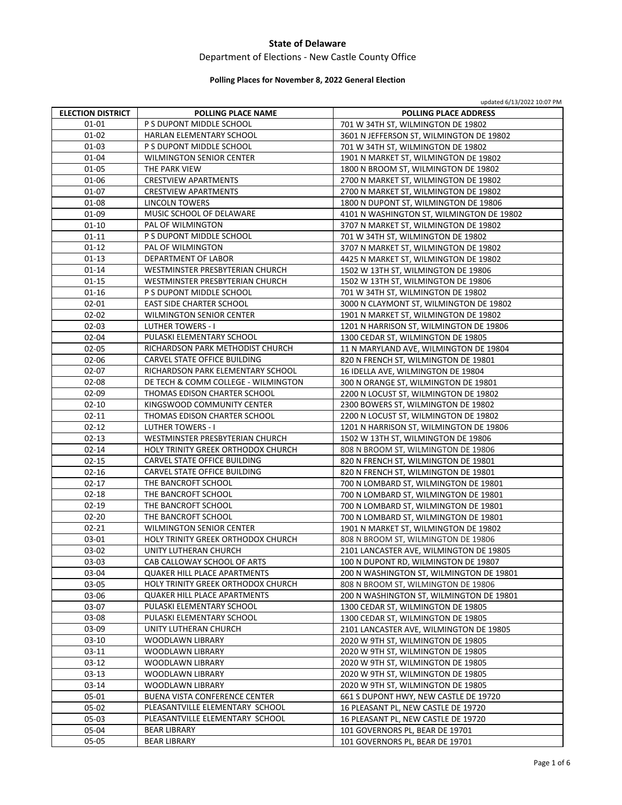## Department of Elections ‐ New Castle County Office

# **Polling Places for November 8, 2022 General Election**

|                          |                                      | updated 6/13/2022 10:07 PM                |
|--------------------------|--------------------------------------|-------------------------------------------|
| <b>ELECTION DISTRICT</b> | <b>POLLING PLACE NAME</b>            | <b>POLLING PLACE ADDRESS</b>              |
| 01-01                    | P S DUPONT MIDDLE SCHOOL             | 701 W 34TH ST, WILMINGTON DE 19802        |
| 01-02                    | HARLAN ELEMENTARY SCHOOL             | 3601 N JEFFERSON ST, WILMINGTON DE 19802  |
| $01 - 03$                | P S DUPONT MIDDLE SCHOOL             | 701 W 34TH ST, WILMINGTON DE 19802        |
| 01-04                    | <b>WILMINGTON SENIOR CENTER</b>      | 1901 N MARKET ST, WILMINGTON DE 19802     |
| 01-05                    | THE PARK VIEW                        | 1800 N BROOM ST, WILMINGTON DE 19802      |
| 01-06                    | <b>CRESTVIEW APARTMENTS</b>          | 2700 N MARKET ST, WILMINGTON DE 19802     |
| $01 - 07$                | <b>CRESTVIEW APARTMENTS</b>          | 2700 N MARKET ST, WILMINGTON DE 19802     |
| $01 - 08$                | <b>LINCOLN TOWERS</b>                | 1800 N DUPONT ST, WILMINGTON DE 19806     |
| 01-09                    | MUSIC SCHOOL OF DELAWARE             | 4101 N WASHINGTON ST, WILMINGTON DE 19802 |
| $01 - 10$                | PAL OF WILMINGTON                    | 3707 N MARKET ST, WILMINGTON DE 19802     |
| $01 - 11$                | P S DUPONT MIDDLE SCHOOL             | 701 W 34TH ST, WILMINGTON DE 19802        |
| $01 - 12$                | PAL OF WILMINGTON                    | 3707 N MARKET ST, WILMINGTON DE 19802     |
| $01-13$                  | DEPARTMENT OF LABOR                  | 4425 N MARKET ST, WILMINGTON DE 19802     |
| 01-14                    | WESTMINSTER PRESBYTERIAN CHURCH      | 1502 W 13TH ST, WILMINGTON DE 19806       |
| 01-15                    | WESTMINSTER PRESBYTERIAN CHURCH      | 1502 W 13TH ST, WILMINGTON DE 19806       |
| $01 - 16$                | P S DUPONT MIDDLE SCHOOL             | 701 W 34TH ST, WILMINGTON DE 19802        |
| 02-01                    | <b>EAST SIDE CHARTER SCHOOL</b>      | 3000 N CLAYMONT ST, WILMINGTON DE 19802   |
| $02 - 02$                | <b>WILMINGTON SENIOR CENTER</b>      | 1901 N MARKET ST, WILMINGTON DE 19802     |
| $02 - 03$                | <b>LUTHER TOWERS - I</b>             | 1201 N HARRISON ST, WILMINGTON DE 19806   |
| 02-04                    | PULASKI ELEMENTARY SCHOOL            | 1300 CEDAR ST, WILMINGTON DE 19805        |
| 02-05                    | RICHARDSON PARK METHODIST CHURCH     | 11 N MARYLAND AVE, WILMINGTON DE 19804    |
| 02-06                    | CARVEL STATE OFFICE BUILDING         | 820 N FRENCH ST, WILMINGTON DE 19801      |
| $02 - 07$                | RICHARDSON PARK ELEMENTARY SCHOOL    | 16 IDELLA AVE, WILMINGTON DE 19804        |
| $02 - 08$                | DE TECH & COMM COLLEGE - WILMINGTON  | 300 N ORANGE ST, WILMINGTON DE 19801      |
| $02 - 09$                | THOMAS EDISON CHARTER SCHOOL         | 2200 N LOCUST ST, WILMINGTON DE 19802     |
| $02 - 10$                | KINGSWOOD COMMUNITY CENTER           | 2300 BOWERS ST, WILMINGTON DE 19802       |
| 02-11                    | THOMAS EDISON CHARTER SCHOOL         | 2200 N LOCUST ST, WILMINGTON DE 19802     |
| $02 - 12$                | <b>LUTHER TOWERS - I</b>             | 1201 N HARRISON ST, WILMINGTON DE 19806   |
| $02 - 13$                | WESTMINSTER PRESBYTERIAN CHURCH      | 1502 W 13TH ST, WILMINGTON DE 19806       |
| $02 - 14$                | HOLY TRINITY GREEK ORTHODOX CHURCH   | 808 N BROOM ST, WILMINGTON DE 19806       |
| $02 - 15$                | CARVEL STATE OFFICE BUILDING         | 820 N FRENCH ST, WILMINGTON DE 19801      |
| $02 - 16$                | CARVEL STATE OFFICE BUILDING         | 820 N FRENCH ST, WILMINGTON DE 19801      |
| $02 - 17$                | THE BANCROFT SCHOOL                  | 700 N LOMBARD ST, WILMINGTON DE 19801     |
| $02 - 18$                | THE BANCROFT SCHOOL                  | 700 N LOMBARD ST, WILMINGTON DE 19801     |
| $02-19$                  | THE BANCROFT SCHOOL                  | 700 N LOMBARD ST, WILMINGTON DE 19801     |
| $02 - 20$                | THE BANCROFT SCHOOL                  | 700 N LOMBARD ST, WILMINGTON DE 19801     |
| $02 - 21$                | <b>WILMINGTON SENIOR CENTER</b>      | 1901 N MARKET ST, WILMINGTON DE 19802     |
| 03-01                    | HOLY TRINITY GREEK ORTHODOX CHURCH   | 808 N BROOM ST, WILMINGTON DE 19806       |
| 03-02                    | UNITY LUTHERAN CHURCH                | 2101 LANCASTER AVE, WILMINGTON DE 19805   |
| 03-03                    | CAB CALLOWAY SCHOOL OF ARTS          | 100 N DUPONT RD, WILMINGTON DE 19807      |
| 03-04                    | <b>QUAKER HILL PLACE APARTMENTS</b>  | 200 N WASHINGTON ST, WILMINGTON DE 19801  |
| 03-05                    | HOLY TRINITY GREEK ORTHODOX CHURCH   | 808 N BROOM ST, WILMINGTON DE 19806       |
| 03-06                    | <b>QUAKER HILL PLACE APARTMENTS</b>  | 200 N WASHINGTON ST, WILMINGTON DE 19801  |
| 03-07                    | PULASKI ELEMENTARY SCHOOL            | 1300 CEDAR ST, WILMINGTON DE 19805        |
| 03-08                    | PULASKI ELEMENTARY SCHOOL            | 1300 CEDAR ST, WILMINGTON DE 19805        |
| 03-09                    | UNITY LUTHERAN CHURCH                | 2101 LANCASTER AVE, WILMINGTON DE 19805   |
| $03-10$                  | WOODLAWN LIBRARY                     | 2020 W 9TH ST, WILMINGTON DE 19805        |
| $03-11$                  | WOODLAWN LIBRARY                     | 2020 W 9TH ST, WILMINGTON DE 19805        |
| 03-12                    | <b>WOODLAWN LIBRARY</b>              | 2020 W 9TH ST, WILMINGTON DE 19805        |
| $03-13$                  | WOODLAWN LIBRARY                     | 2020 W 9TH ST, WILMINGTON DE 19805        |
| 03-14                    | WOODLAWN LIBRARY                     | 2020 W 9TH ST, WILMINGTON DE 19805        |
| 05-01                    | <b>BUENA VISTA CONFERENCE CENTER</b> | 661 S DUPONT HWY, NEW CASTLE DE 19720     |
| 05-02                    | PLEASANTVILLE ELEMENTARY SCHOOL      | 16 PLEASANT PL, NEW CASTLE DE 19720       |
| 05-03                    | PLEASANTVILLE ELEMENTARY SCHOOL      | 16 PLEASANT PL, NEW CASTLE DE 19720       |
| 05-04                    | <b>BEAR LIBRARY</b>                  | 101 GOVERNORS PL, BEAR DE 19701           |
| 05-05                    | <b>BEAR LIBRARY</b>                  | 101 GOVERNORS PL, BEAR DE 19701           |
|                          |                                      |                                           |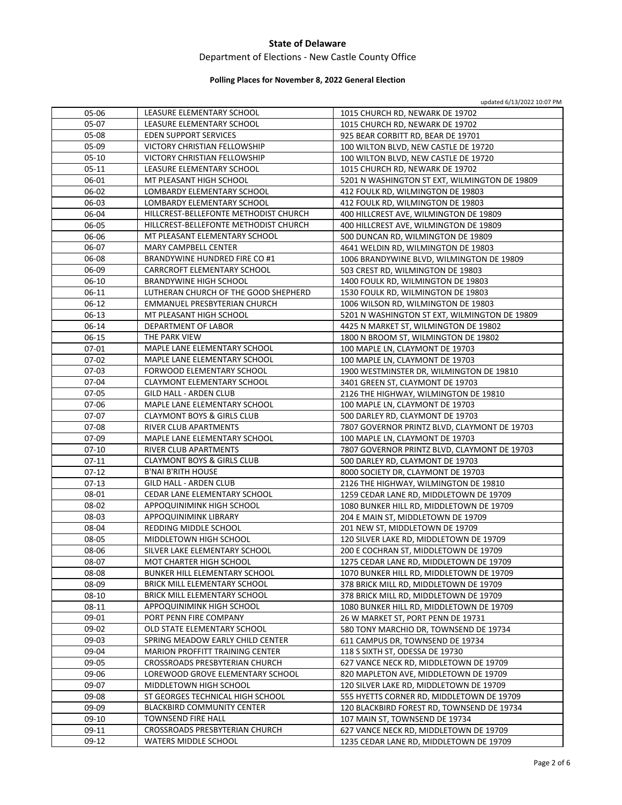# Department of Elections ‐ New Castle County Office

# **Polling Places for November 8, 2022 General Election**

updated 6/13/2022 10:07 PM

| 05-06     | LEASURE ELEMENTARY SCHOOL             | 1015 CHURCH RD, NEWARK DE 19702               |
|-----------|---------------------------------------|-----------------------------------------------|
| 05-07     | LEASURE ELEMENTARY SCHOOL             | 1015 CHURCH RD, NEWARK DE 19702               |
| 05-08     | <b>EDEN SUPPORT SERVICES</b>          | 925 BEAR CORBITT RD, BEAR DE 19701            |
| 05-09     | VICTORY CHRISTIAN FELLOWSHIP          | 100 WILTON BLVD, NEW CASTLE DE 19720          |
| $05-10$   | VICTORY CHRISTIAN FELLOWSHIP          | 100 WILTON BLVD, NEW CASTLE DE 19720          |
| $05 - 11$ | LEASURE ELEMENTARY SCHOOL             | 1015 CHURCH RD, NEWARK DE 19702               |
| 06-01     | MT PLEASANT HIGH SCHOOL               | 5201 N WASHINGTON ST EXT, WILMINGTON DE 19809 |
| 06-02     | LOMBARDY ELEMENTARY SCHOOL            | 412 FOULK RD, WILMINGTON DE 19803             |
| 06-03     | LOMBARDY ELEMENTARY SCHOOL            | 412 FOULK RD, WILMINGTON DE 19803             |
| 06-04     | HILLCREST-BELLEFONTE METHODIST CHURCH | 400 HILLCREST AVE, WILMINGTON DE 19809        |
| 06-05     | HILLCREST-BELLEFONTE METHODIST CHURCH | 400 HILLCREST AVE, WILMINGTON DE 19809        |
| 06-06     | MT PLEASANT ELEMENTARY SCHOOL         | 500 DUNCAN RD, WILMINGTON DE 19809            |
| 06-07     | MARY CAMPBELL CENTER                  | 4641 WELDIN RD, WILMINGTON DE 19803           |
| 06-08     | BRANDYWINE HUNDRED FIRE CO #1         | 1006 BRANDYWINE BLVD, WILMINGTON DE 19809     |
| 06-09     | CARRCROFT ELEMENTARY SCHOOL           | 503 CREST RD, WILMINGTON DE 19803             |
| 06-10     | BRANDYWINE HIGH SCHOOL                | 1400 FOULK RD, WILMINGTON DE 19803            |
| $06-11$   | LUTHERAN CHURCH OF THE GOOD SHEPHERD  | 1530 FOULK RD, WILMINGTON DE 19803            |
| 06-12     | EMMANUEL PRESBYTERIAN CHURCH          | 1006 WILSON RD, WILMINGTON DE 19803           |
| $06-13$   | MT PLEASANT HIGH SCHOOL               | 5201 N WASHINGTON ST EXT, WILMINGTON DE 19809 |
| 06-14     | DEPARTMENT OF LABOR                   | 4425 N MARKET ST, WILMINGTON DE 19802         |
| 06-15     | THE PARK VIEW                         | 1800 N BROOM ST, WILMINGTON DE 19802          |
| 07-01     | MAPLE LANE ELEMENTARY SCHOOL          | 100 MAPLE LN, CLAYMONT DE 19703               |
| 07-02     | MAPLE LANE ELEMENTARY SCHOOL          | 100 MAPLE LN, CLAYMONT DE 19703               |
| $07-03$   | FORWOOD ELEMENTARY SCHOOL             | 1900 WESTMINSTER DR, WILMINGTON DE 19810      |
| 07-04     | <b>CLAYMONT ELEMENTARY SCHOOL</b>     | 3401 GREEN ST, CLAYMONT DE 19703              |
| 07-05     | <b>GILD HALL - ARDEN CLUB</b>         | 2126 THE HIGHWAY, WILMINGTON DE 19810         |
| 07-06     | MAPLE LANE ELEMENTARY SCHOOL          | 100 MAPLE LN, CLAYMONT DE 19703               |
| 07-07     | <b>CLAYMONT BOYS &amp; GIRLS CLUB</b> | 500 DARLEY RD, CLAYMONT DE 19703              |
| 07-08     | RIVER CLUB APARTMENTS                 | 7807 GOVERNOR PRINTZ BLVD, CLAYMONT DE 19703  |
| 07-09     | MAPLE LANE ELEMENTARY SCHOOL          | 100 MAPLE LN, CLAYMONT DE 19703               |
| $07 - 10$ | RIVER CLUB APARTMENTS                 | 7807 GOVERNOR PRINTZ BLVD, CLAYMONT DE 19703  |
| $07-11$   | <b>CLAYMONT BOYS &amp; GIRLS CLUB</b> | 500 DARLEY RD, CLAYMONT DE 19703              |
| $07-12$   | <b>B'NAI B'RITH HOUSE</b>             | 8000 SOCIETY DR, CLAYMONT DE 19703            |
| 07-13     | GILD HALL - ARDEN CLUB                | 2126 THE HIGHWAY, WILMINGTON DE 19810         |
| 08-01     | CEDAR LANE ELEMENTARY SCHOOL          | 1259 CEDAR LANE RD, MIDDLETOWN DE 19709       |
| 08-02     | APPOQUINIMINK HIGH SCHOOL             | 1080 BUNKER HILL RD, MIDDLETOWN DE 19709      |
| 08-03     | APPOQUINIMINK LIBRARY                 | 204 E MAIN ST, MIDDLETOWN DE 19709            |
| 08-04     | REDDING MIDDLE SCHOOL                 | 201 NEW ST, MIDDLETOWN DE 19709               |
| 08-05     | MIDDLETOWN HIGH SCHOOL                | 120 SILVER LAKE RD, MIDDLETOWN DE 19709       |
| 08-06     | SILVER LAKE ELEMENTARY SCHOOL         | 200 E COCHRAN ST, MIDDLETOWN DE 19709         |
| 08-07     | MOT CHARTER HIGH SCHOOL               | 1275 CEDAR LANE RD, MIDDLETOWN DE 19709       |
| 08-08     | BUNKER HILL ELEMENTARY SCHOOL         | 1070 BUNKER HILL RD, MIDDLETOWN DE 19709      |
| 08-09     | <b>BRICK MILL ELEMENTARY SCHOOL</b>   | 378 BRICK MILL RD, MIDDLETOWN DE 19709        |
| 08-10     | BRICK MILL ELEMENTARY SCHOOL          | 378 BRICK MILL RD, MIDDLETOWN DE 19709        |
| 08-11     | APPOQUINIMINK HIGH SCHOOL             | 1080 BUNKER HILL RD, MIDDLETOWN DE 19709      |
| 09-01     | PORT PENN FIRE COMPANY                | 26 W MARKET ST, PORT PENN DE 19731            |
| 09-02     | OLD STATE ELEMENTARY SCHOOL           | 580 TONY MARCHIO DR, TOWNSEND DE 19734        |
| 09-03     | SPRING MEADOW EARLY CHILD CENTER      | 611 CAMPUS DR, TOWNSEND DE 19734              |
| 09-04     | MARION PROFFITT TRAINING CENTER       | 118 S SIXTH ST, ODESSA DE 19730               |
| 09-05     | CROSSROADS PRESBYTERIAN CHURCH        | 627 VANCE NECK RD, MIDDLETOWN DE 19709        |
| 09-06     | LOREWOOD GROVE ELEMENTARY SCHOOL      | 820 MAPLETON AVE, MIDDLETOWN DE 19709         |
| 09-07     | MIDDLETOWN HIGH SCHOOL                | 120 SILVER LAKE RD, MIDDLETOWN DE 19709       |
| 09-08     | ST GEORGES TECHNICAL HIGH SCHOOL      | 555 HYETTS CORNER RD, MIDDLETOWN DE 19709     |
| 09-09     | <b>BLACKBIRD COMMUNITY CENTER</b>     | 120 BLACKBIRD FOREST RD, TOWNSEND DE 19734    |
| 09-10     | TOWNSEND FIRE HALL                    | 107 MAIN ST, TOWNSEND DE 19734                |
| 09-11     | CROSSROADS PRESBYTERIAN CHURCH        | 627 VANCE NECK RD, MIDDLETOWN DE 19709        |
| $09-12$   | WATERS MIDDLE SCHOOL                  | 1235 CEDAR LANE RD, MIDDLETOWN DE 19709       |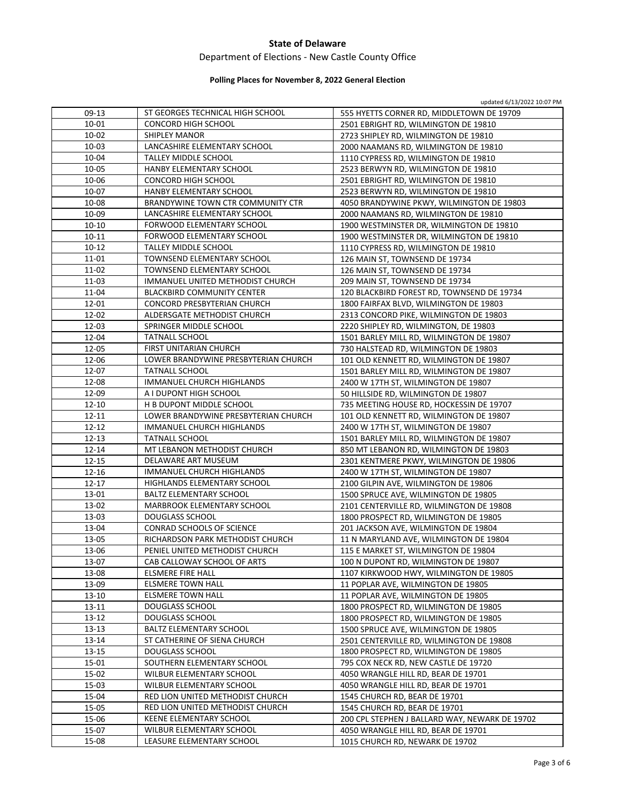## Department of Elections ‐ New Castle County Office

# **Polling Places for November 8, 2022 General Election**

|                |                                                               | updated 6/13/2022 10:07 PM                                                     |
|----------------|---------------------------------------------------------------|--------------------------------------------------------------------------------|
| 09-13          | ST GEORGES TECHNICAL HIGH SCHOOL                              | 555 HYETTS CORNER RD, MIDDLETOWN DE 19709                                      |
| 10-01          | <b>CONCORD HIGH SCHOOL</b>                                    | 2501 EBRIGHT RD, WILMINGTON DE 19810                                           |
| 10-02          | <b>SHIPLEY MANOR</b>                                          | 2723 SHIPLEY RD, WILMINGTON DE 19810                                           |
| 10-03          | LANCASHIRE ELEMENTARY SCHOOL                                  | 2000 NAAMANS RD, WILMINGTON DE 19810                                           |
| 10-04          | TALLEY MIDDLE SCHOOL                                          | 1110 CYPRESS RD, WILMINGTON DE 19810                                           |
| 10-05          | HANBY ELEMENTARY SCHOOL                                       | 2523 BERWYN RD, WILMINGTON DE 19810                                            |
| 10-06          | <b>CONCORD HIGH SCHOOL</b>                                    | 2501 EBRIGHT RD, WILMINGTON DE 19810                                           |
| 10-07          | HANBY ELEMENTARY SCHOOL                                       | 2523 BERWYN RD, WILMINGTON DE 19810                                            |
| 10-08          | BRANDYWINE TOWN CTR COMMUNITY CTR                             | 4050 BRANDYWINE PKWY, WILMINGTON DE 19803                                      |
| 10-09          | LANCASHIRE ELEMENTARY SCHOOL                                  | 2000 NAAMANS RD, WILMINGTON DE 19810                                           |
| $10 - 10$      | FORWOOD ELEMENTARY SCHOOL                                     | 1900 WESTMINSTER DR, WILMINGTON DE 19810                                       |
| $10 - 11$      | FORWOOD ELEMENTARY SCHOOL                                     | 1900 WESTMINSTER DR, WILMINGTON DE 19810                                       |
| $10 - 12$      | TALLEY MIDDLE SCHOOL                                          | 1110 CYPRESS RD, WILMINGTON DE 19810                                           |
| 11-01          | TOWNSEND ELEMENTARY SCHOOL                                    | 126 MAIN ST, TOWNSEND DE 19734                                                 |
| 11-02          | TOWNSEND ELEMENTARY SCHOOL                                    | 126 MAIN ST, TOWNSEND DE 19734                                                 |
| 11-03          | IMMANUEL UNITED METHODIST CHURCH                              | 209 MAIN ST, TOWNSEND DE 19734                                                 |
| 11-04          | <b>BLACKBIRD COMMUNITY CENTER</b>                             | 120 BLACKBIRD FOREST RD, TOWNSEND DE 19734                                     |
| 12-01          | <b>CONCORD PRESBYTERIAN CHURCH</b>                            | 1800 FAIRFAX BLVD, WILMINGTON DE 19803                                         |
| 12-02          | ALDERSGATE METHODIST CHURCH                                   | 2313 CONCORD PIKE, WILMINGTON DE 19803                                         |
| 12-03          | SPRINGER MIDDLE SCHOOL                                        | 2220 SHIPLEY RD, WILMINGTON, DE 19803                                          |
| 12-04          | <b>TATNALL SCHOOL</b>                                         | 1501 BARLEY MILL RD, WILMINGTON DE 19807                                       |
| 12-05          | FIRST UNITARIAN CHURCH                                        | 730 HALSTEAD RD, WILMINGTON DE 19803                                           |
| 12-06          | LOWER BRANDYWINE PRESBYTERIAN CHURCH                          | 101 OLD KENNETT RD, WILMINGTON DE 19807                                        |
| 12-07          | <b>TATNALL SCHOOL</b>                                         | 1501 BARLEY MILL RD, WILMINGTON DE 19807                                       |
| 12-08          | IMMANUEL CHURCH HIGHLANDS                                     | 2400 W 17TH ST, WILMINGTON DE 19807                                            |
| 12-09          | A I DUPONT HIGH SCHOOL                                        | 50 HILLSIDE RD, WILMINGTON DE 19807                                            |
| 12-10          | H B DUPONT MIDDLE SCHOOL                                      | 735 MEETING HOUSE RD, HOCKESSIN DE 19707                                       |
| 12-11          | LOWER BRANDYWINE PRESBYTERIAN CHURCH                          | 101 OLD KENNETT RD, WILMINGTON DE 19807                                        |
| $12 - 12$      | IMMANUEL CHURCH HIGHLANDS                                     | 2400 W 17TH ST, WILMINGTON DE 19807                                            |
| 12-13          | <b>TATNALL SCHOOL</b>                                         | 1501 BARLEY MILL RD, WILMINGTON DE 19807                                       |
| 12-14          | MT LEBANON METHODIST CHURCH                                   | 850 MT LEBANON RD, WILMINGTON DE 19803                                         |
| $12 - 15$      | DELAWARE ART MUSEUM                                           | 2301 KENTMERE PKWY, WILMINGTON DE 19806                                        |
| 12-16          | IMMANUEL CHURCH HIGHLANDS                                     | 2400 W 17TH ST, WILMINGTON DE 19807                                            |
| 12-17          | HIGHLANDS ELEMENTARY SCHOOL                                   | 2100 GILPIN AVE, WILMINGTON DE 19806                                           |
| 13-01          | <b>BALTZ ELEMENTARY SCHOOL</b>                                | 1500 SPRUCE AVE, WILMINGTON DE 19805                                           |
| 13-02          | <b>MARBROOK ELEMENTARY SCHOOL</b>                             | 2101 CENTERVILLE RD, WILMINGTON DE 19808                                       |
| 13-03          | <b>DOUGLASS SCHOOL</b>                                        | 1800 PROSPECT RD, WILMINGTON DE 19805                                          |
| 13-04          | <b>CONRAD SCHOOLS OF SCIENCE</b>                              | 201 JACKSON AVE, WILMINGTON DE 19804                                           |
| 13-05          | RICHARDSON PARK METHODIST CHURCH                              | 11 N MARYLAND AVE, WILMINGTON DE 19804                                         |
| 13-06          |                                                               | 115 E MARKET ST, WILMINGTON DE 19804                                           |
|                | PENIEL UNITED METHODIST CHURCH<br>CAB CALLOWAY SCHOOL OF ARTS |                                                                                |
| 13-07<br>13-08 |                                                               | 100 N DUPONT RD, WILMINGTON DE 19807                                           |
| 13-09          | ELSMERE FIRE HALL<br>ELSMERE TOWN HALL                        | 1107 KIRKWOOD HWY, WILMINGTON DE 19805<br>11 POPLAR AVE, WILMINGTON DE 19805   |
| 13-10          |                                                               |                                                                                |
|                | ELSMERE TOWN HALL                                             | 11 POPLAR AVE, WILMINGTON DE 19805                                             |
| 13-11          | DOUGLASS SCHOOL<br>DOUGLASS SCHOOL                            | 1800 PROSPECT RD, WILMINGTON DE 19805<br>1800 PROSPECT RD, WILMINGTON DE 19805 |
| 13-12          |                                                               |                                                                                |
| 13-13          | <b>BALTZ ELEMENTARY SCHOOL</b>                                | 1500 SPRUCE AVE, WILMINGTON DE 19805                                           |
| 13-14          | ST CATHERINE OF SIENA CHURCH                                  | 2501 CENTERVILLE RD, WILMINGTON DE 19808                                       |
| 13-15          | DOUGLASS SCHOOL                                               | 1800 PROSPECT RD, WILMINGTON DE 19805                                          |
| 15-01<br>15-02 | SOUTHERN ELEMENTARY SCHOOL                                    | 795 COX NECK RD, NEW CASTLE DE 19720                                           |
|                | WILBUR ELEMENTARY SCHOOL                                      | 4050 WRANGLE HILL RD, BEAR DE 19701                                            |
| 15-03          | WILBUR ELEMENTARY SCHOOL                                      | 4050 WRANGLE HILL RD, BEAR DE 19701                                            |
| 15-04          | RED LION UNITED METHODIST CHURCH                              | 1545 CHURCH RD, BEAR DE 19701                                                  |
| 15-05          | RED LION UNITED METHODIST CHURCH                              | 1545 CHURCH RD, BEAR DE 19701                                                  |
| 15-06          | KEENE ELEMENTARY SCHOOL                                       | 200 CPL STEPHEN J BALLARD WAY, NEWARK DE 19702                                 |
| 15-07          | WILBUR ELEMENTARY SCHOOL                                      | 4050 WRANGLE HILL RD, BEAR DE 19701                                            |
| 15-08          | LEASURE ELEMENTARY SCHOOL                                     | 1015 CHURCH RD, NEWARK DE 19702                                                |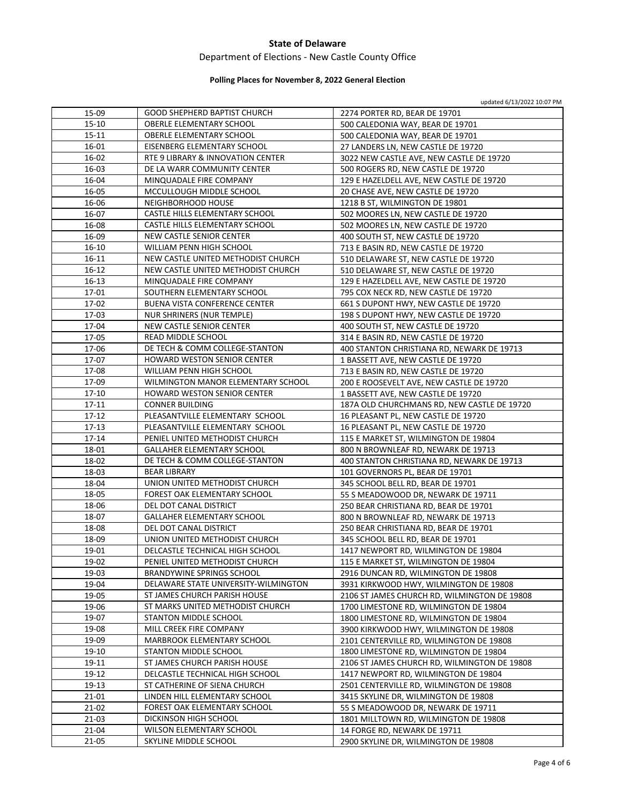# Department of Elections ‐ New Castle County Office

# **Polling Places for November 8, 2022 General Election**

updated 6/13/2022 10:07 PM

| 15-09     | GOOD SHEPHERD BAPTIST CHURCH                                      | 2274 PORTER RD, BEAR DE 19701                                                 |
|-----------|-------------------------------------------------------------------|-------------------------------------------------------------------------------|
| 15-10     | <b>OBERLE ELEMENTARY SCHOOL</b>                                   | 500 CALEDONIA WAY, BEAR DE 19701                                              |
| 15-11     | OBERLE ELEMENTARY SCHOOL                                          | 500 CALEDONIA WAY, BEAR DE 19701                                              |
| 16-01     | EISENBERG ELEMENTARY SCHOOL                                       | 27 LANDERS LN, NEW CASTLE DE 19720                                            |
| 16-02     | RTE 9 LIBRARY & INNOVATION CENTER                                 | 3022 NEW CASTLE AVE, NEW CASTLE DE 19720                                      |
| 16-03     | DE LA WARR COMMUNITY CENTER                                       | 500 ROGERS RD, NEW CASTLE DE 19720                                            |
| 16-04     | MINQUADALE FIRE COMPANY                                           | 129 E HAZELDELL AVE, NEW CASTLE DE 19720                                      |
| 16-05     | MCCULLOUGH MIDDLE SCHOOL                                          | 20 CHASE AVE, NEW CASTLE DE 19720                                             |
| 16-06     | NEIGHBORHOOD HOUSE                                                | 1218 B ST, WILMINGTON DE 19801                                                |
| 16-07     | CASTLE HILLS ELEMENTARY SCHOOL                                    | 502 MOORES LN, NEW CASTLE DE 19720                                            |
| 16-08     | CASTLE HILLS ELEMENTARY SCHOOL                                    | 502 MOORES LN, NEW CASTLE DE 19720                                            |
| 16-09     | NEW CASTLE SENIOR CENTER                                          | 400 SOUTH ST, NEW CASTLE DE 19720                                             |
| 16-10     | WILLIAM PENN HIGH SCHOOL                                          | 713 E BASIN RD, NEW CASTLE DE 19720                                           |
| $16 - 11$ | NEW CASTLE UNITED METHODIST CHURCH                                | 510 DELAWARE ST, NEW CASTLE DE 19720                                          |
| 16-12     | NEW CASTLE UNITED METHODIST CHURCH                                | 510 DELAWARE ST, NEW CASTLE DE 19720                                          |
| 16-13     | MINQUADALE FIRE COMPANY                                           | 129 E HAZELDELL AVE, NEW CASTLE DE 19720                                      |
| 17-01     | SOUTHERN ELEMENTARY SCHOOL                                        | 795 COX NECK RD, NEW CASTLE DE 19720                                          |
| 17-02     | <b>BUENA VISTA CONFERENCE CENTER</b>                              | 661 S DUPONT HWY, NEW CASTLE DE 19720                                         |
| 17-03     | <b>NUR SHRINERS (NUR TEMPLE)</b>                                  | 198 S DUPONT HWY, NEW CASTLE DE 19720                                         |
| 17-04     | NEW CASTLE SENIOR CENTER                                          | 400 SOUTH ST, NEW CASTLE DE 19720                                             |
| 17-05     | <b>READ MIDDLE SCHOOL</b>                                         | 314 E BASIN RD, NEW CASTLE DE 19720                                           |
| 17-06     | DE TECH & COMM COLLEGE-STANTON                                    | 400 STANTON CHRISTIANA RD, NEWARK DE 19713                                    |
| 17-07     | HOWARD WESTON SENIOR CENTER                                       | 1 BASSETT AVE, NEW CASTLE DE 19720                                            |
| 17-08     | WILLIAM PENN HIGH SCHOOL                                          | 713 E BASIN RD, NEW CASTLE DE 19720                                           |
| 17-09     | WILMINGTON MANOR ELEMENTARY SCHOOL                                | 200 E ROOSEVELT AVE, NEW CASTLE DE 19720                                      |
| $17 - 10$ | <b>HOWARD WESTON SENIOR CENTER</b>                                | 1 BASSETT AVE, NEW CASTLE DE 19720                                            |
| $17 - 11$ | <b>CONNER BUILDING</b>                                            | 187A OLD CHURCHMANS RD, NEW CASTLE DE 19720                                   |
| 17-12     | PLEASANTVILLE ELEMENTARY SCHOOL                                   | 16 PLEASANT PL, NEW CASTLE DE 19720                                           |
| 17-13     | PLEASANTVILLE ELEMENTARY SCHOOL                                   | 16 PLEASANT PL, NEW CASTLE DE 19720                                           |
| $17 - 14$ | PENIEL UNITED METHODIST CHURCH                                    | 115 E MARKET ST, WILMINGTON DE 19804                                          |
| 18-01     | <b>GALLAHER ELEMENTARY SCHOOL</b>                                 | 800 N BROWNLEAF RD, NEWARK DE 19713                                           |
| 18-02     | DE TECH & COMM COLLEGE-STANTON                                    | 400 STANTON CHRISTIANA RD, NEWARK DE 19713                                    |
| 18-03     | <b>BEAR LIBRARY</b>                                               | 101 GOVERNORS PL, BEAR DE 19701                                               |
| 18-04     | UNION UNITED METHODIST CHURCH                                     | 345 SCHOOL BELL RD, BEAR DE 19701                                             |
| 18-05     | FOREST OAK ELEMENTARY SCHOOL                                      | 55 S MEADOWOOD DR, NEWARK DE 19711                                            |
| 18-06     | DEL DOT CANAL DISTRICT                                            | 250 BEAR CHRISTIANA RD, BEAR DE 19701                                         |
| 18-07     | <b>GALLAHER ELEMENTARY SCHOOL</b>                                 | 800 N BROWNLEAF RD, NEWARK DE 19713                                           |
| 18-08     | DEL DOT CANAL DISTRICT                                            |                                                                               |
| 18-09     | UNION UNITED METHODIST CHURCH                                     | 250 BEAR CHRISTIANA RD, BEAR DE 19701<br>345 SCHOOL BELL RD, BEAR DE 19701    |
| 19-01     | DELCASTLE TECHNICAL HIGH SCHOOL                                   | 1417 NEWPORT RD, WILMINGTON DE 19804                                          |
| 19-02     | PENIEL UNITED METHODIST CHURCH                                    |                                                                               |
| 19-03     |                                                                   | 115 E MARKET ST, WILMINGTON DE 19804                                          |
| 19-04     | BRANDYWINE SPRINGS SCHOOL<br>DELAWARE STATE UNIVERSITY-WILMINGTON | 2916 DUNCAN RD, WILMINGTON DE 19808<br>3931 KIRKWOOD HWY, WILMINGTON DE 19808 |
| 19-05     |                                                                   |                                                                               |
|           | ST JAMES CHURCH PARISH HOUSE                                      | 2106 ST JAMES CHURCH RD, WILMINGTON DE 19808                                  |
| 19-06     | ST MARKS UNITED METHODIST CHURCH                                  | 1700 LIMESTONE RD, WILMINGTON DE 19804                                        |
| 19-07     | STANTON MIDDLE SCHOOL                                             | 1800 LIMESTONE RD, WILMINGTON DE 19804                                        |
| 19-08     | MILL CREEK FIRE COMPANY                                           | 3900 KIRKWOOD HWY, WILMINGTON DE 19808                                        |
| 19-09     | MARBROOK ELEMENTARY SCHOOL                                        | 2101 CENTERVILLE RD, WILMINGTON DE 19808                                      |
| 19-10     | STANTON MIDDLE SCHOOL                                             | 1800 LIMESTONE RD, WILMINGTON DE 19804                                        |
| 19-11     | ST JAMES CHURCH PARISH HOUSE                                      | 2106 ST JAMES CHURCH RD, WILMINGTON DE 19808                                  |
| 19-12     | DELCASTLE TECHNICAL HIGH SCHOOL                                   | 1417 NEWPORT RD, WILMINGTON DE 19804                                          |
| 19-13     | ST CATHERINE OF SIENA CHURCH                                      | 2501 CENTERVILLE RD, WILMINGTON DE 19808                                      |
| 21-01     | LINDEN HILL ELEMENTARY SCHOOL                                     | 3415 SKYLINE DR, WILMINGTON DE 19808                                          |
| 21-02     | FOREST OAK ELEMENTARY SCHOOL                                      | 55 S MEADOWOOD DR, NEWARK DE 19711                                            |
| 21-03     | DICKINSON HIGH SCHOOL                                             | 1801 MILLTOWN RD, WILMINGTON DE 19808                                         |
| 21-04     | WILSON ELEMENTARY SCHOOL                                          | 14 FORGE RD, NEWARK DE 19711                                                  |
| 21-05     | SKYLINE MIDDLE SCHOOL                                             | 2900 SKYLINE DR, WILMINGTON DE 19808                                          |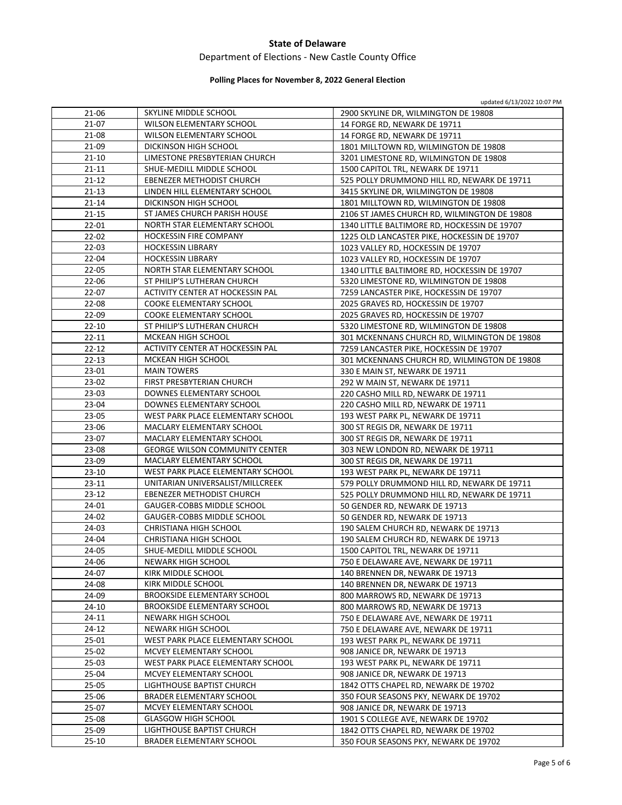# Department of Elections ‐ New Castle County Office

# **Polling Places for November 8, 2022 General Election**

updated 6/13/2022 10:07 PM

| 21-06     | SKYLINE MIDDLE SCHOOL                 | 2900 SKYLINE DR, WILMINGTON DE 19808         |
|-----------|---------------------------------------|----------------------------------------------|
| 21-07     | <b>WILSON ELEMENTARY SCHOOL</b>       | 14 FORGE RD, NEWARK DE 19711                 |
| $21 - 08$ | WILSON ELEMENTARY SCHOOL              | 14 FORGE RD, NEWARK DE 19711                 |
| 21-09     | DICKINSON HIGH SCHOOL                 | 1801 MILLTOWN RD, WILMINGTON DE 19808        |
| $21 - 10$ | LIMESTONE PRESBYTERIAN CHURCH         | 3201 LIMESTONE RD, WILMINGTON DE 19808       |
| $21 - 11$ | SHUE-MEDILL MIDDLE SCHOOL             | 1500 CAPITOL TRL, NEWARK DE 19711            |
| $21 - 12$ | EBENEZER METHODIST CHURCH             | 525 POLLY DRUMMOND HILL RD, NEWARK DE 19711  |
| $21 - 13$ | LINDEN HILL ELEMENTARY SCHOOL         | 3415 SKYLINE DR, WILMINGTON DE 19808         |
| $21 - 14$ | DICKINSON HIGH SCHOOL                 | 1801 MILLTOWN RD, WILMINGTON DE 19808        |
| $21 - 15$ | ST JAMES CHURCH PARISH HOUSE          | 2106 ST JAMES CHURCH RD, WILMINGTON DE 19808 |
| $22 - 01$ | NORTH STAR ELEMENTARY SCHOOL          | 1340 LITTLE BALTIMORE RD, HOCKESSIN DE 19707 |
| $22 - 02$ | <b>HOCKESSIN FIRE COMPANY</b>         | 1225 OLD LANCASTER PIKE, HOCKESSIN DE 19707  |
| $22 - 03$ | <b>HOCKESSIN LIBRARY</b>              | 1023 VALLEY RD, HOCKESSIN DE 19707           |
| $22 - 04$ | <b>HOCKESSIN LIBRARY</b>              | 1023 VALLEY RD, HOCKESSIN DE 19707           |
| $22 - 05$ | NORTH STAR ELEMENTARY SCHOOL          | 1340 LITTLE BALTIMORE RD, HOCKESSIN DE 19707 |
| 22-06     | ST PHILIP'S LUTHERAN CHURCH           | 5320 LIMESTONE RD, WILMINGTON DE 19808       |
| 22-07     | ACTIVITY CENTER AT HOCKESSIN PAL      | 7259 LANCASTER PIKE, HOCKESSIN DE 19707      |
| $22 - 08$ | <b>COOKE ELEMENTARY SCHOOL</b>        | 2025 GRAVES RD, HOCKESSIN DE 19707           |
| 22-09     | <b>COOKE ELEMENTARY SCHOOL</b>        | 2025 GRAVES RD, HOCKESSIN DE 19707           |
| $22 - 10$ | ST PHILIP'S LUTHERAN CHURCH           | 5320 LIMESTONE RD, WILMINGTON DE 19808       |
| $22 - 11$ | MCKEAN HIGH SCHOOL                    | 301 MCKENNANS CHURCH RD, WILMINGTON DE 19808 |
| $22 - 12$ | ACTIVITY CENTER AT HOCKESSIN PAL      | 7259 LANCASTER PIKE, HOCKESSIN DE 19707      |
| $22 - 13$ | MCKEAN HIGH SCHOOL                    | 301 MCKENNANS CHURCH RD, WILMINGTON DE 19808 |
| 23-01     | <b>MAIN TOWERS</b>                    | 330 E MAIN ST, NEWARK DE 19711               |
| 23-02     | FIRST PRESBYTERIAN CHURCH             | 292 W MAIN ST, NEWARK DE 19711               |
| $23-03$   | DOWNES ELEMENTARY SCHOOL              | 220 CASHO MILL RD, NEWARK DE 19711           |
| 23-04     | DOWNES ELEMENTARY SCHOOL              | 220 CASHO MILL RD, NEWARK DE 19711           |
| 23-05     | WEST PARK PLACE ELEMENTARY SCHOOL     | 193 WEST PARK PL, NEWARK DE 19711            |
| 23-06     | MACLARY ELEMENTARY SCHOOL             | 300 ST REGIS DR, NEWARK DE 19711             |
| 23-07     | MACLARY ELEMENTARY SCHOOL             | 300 ST REGIS DR, NEWARK DE 19711             |
| 23-08     | <b>GEORGE WILSON COMMUNITY CENTER</b> | 303 NEW LONDON RD, NEWARK DE 19711           |
| 23-09     | MACLARY ELEMENTARY SCHOOL             | 300 ST REGIS DR, NEWARK DE 19711             |
| $23 - 10$ | WEST PARK PLACE ELEMENTARY SCHOOL     | 193 WEST PARK PL, NEWARK DE 19711            |
| $23 - 11$ | UNITARIAN UNIVERSALIST/MILLCREEK      | 579 POLLY DRUMMOND HILL RD, NEWARK DE 19711  |
| $23 - 12$ | EBENEZER METHODIST CHURCH             | 525 POLLY DRUMMOND HILL RD, NEWARK DE 19711  |
| 24-01     | GAUGER-COBBS MIDDLE SCHOOL            | 50 GENDER RD, NEWARK DE 19713                |
| 24-02     | GAUGER-COBBS MIDDLE SCHOOL            | 50 GENDER RD, NEWARK DE 19713                |
| 24-03     | CHRISTIANA HIGH SCHOOL                | 190 SALEM CHURCH RD, NEWARK DE 19713         |
| 24-04     | CHRISTIANA HIGH SCHOOL                | 190 SALEM CHURCH RD, NEWARK DE 19713         |
| 24-05     | SHUE-MEDILL MIDDLE SCHOOL             | 1500 CAPITOL TRL, NEWARK DE 19711            |
| 24-06     | NEWARK HIGH SCHOOL                    | 750 E DELAWARE AVE, NEWARK DE 19711          |
| 24-07     | KIRK MIDDLE SCHOOL                    | 140 BRENNEN DR, NEWARK DE 19713              |
| 24-08     | KIRK MIDDLE SCHOOL                    | 140 BRENNEN DR, NEWARK DE 19713              |
| 24-09     | <b>BROOKSIDE ELEMENTARY SCHOOL</b>    | 800 MARROWS RD, NEWARK DE 19713              |
| 24-10     | <b>BROOKSIDE ELEMENTARY SCHOOL</b>    | 800 MARROWS RD, NEWARK DE 19713              |
| 24-11     | NEWARK HIGH SCHOOL                    | 750 E DELAWARE AVE, NEWARK DE 19711          |
| 24-12     | NEWARK HIGH SCHOOL                    | 750 E DELAWARE AVE, NEWARK DE 19711          |
| $25-01$   | WEST PARK PLACE ELEMENTARY SCHOOL     | 193 WEST PARK PL, NEWARK DE 19711            |
| 25-02     | MCVEY ELEMENTARY SCHOOL               | 908 JANICE DR, NEWARK DE 19713               |
| 25-03     | WEST PARK PLACE ELEMENTARY SCHOOL     | 193 WEST PARK PL, NEWARK DE 19711            |
| 25-04     | MCVEY ELEMENTARY SCHOOL               | 908 JANICE DR, NEWARK DE 19713               |
| 25-05     | LIGHTHOUSE BAPTIST CHURCH             | 1842 OTTS CHAPEL RD, NEWARK DE 19702         |
| 25-06     | <b>BRADER ELEMENTARY SCHOOL</b>       | 350 FOUR SEASONS PKY, NEWARK DE 19702        |
| 25-07     | MCVEY ELEMENTARY SCHOOL               | 908 JANICE DR, NEWARK DE 19713               |
| 25-08     | <b>GLASGOW HIGH SCHOOL</b>            | 1901 S COLLEGE AVE, NEWARK DE 19702          |
| 25-09     | LIGHTHOUSE BAPTIST CHURCH             | 1842 OTTS CHAPEL RD, NEWARK DE 19702         |
| 25-10     | BRADER ELEMENTARY SCHOOL              | 350 FOUR SEASONS PKY, NEWARK DE 19702        |